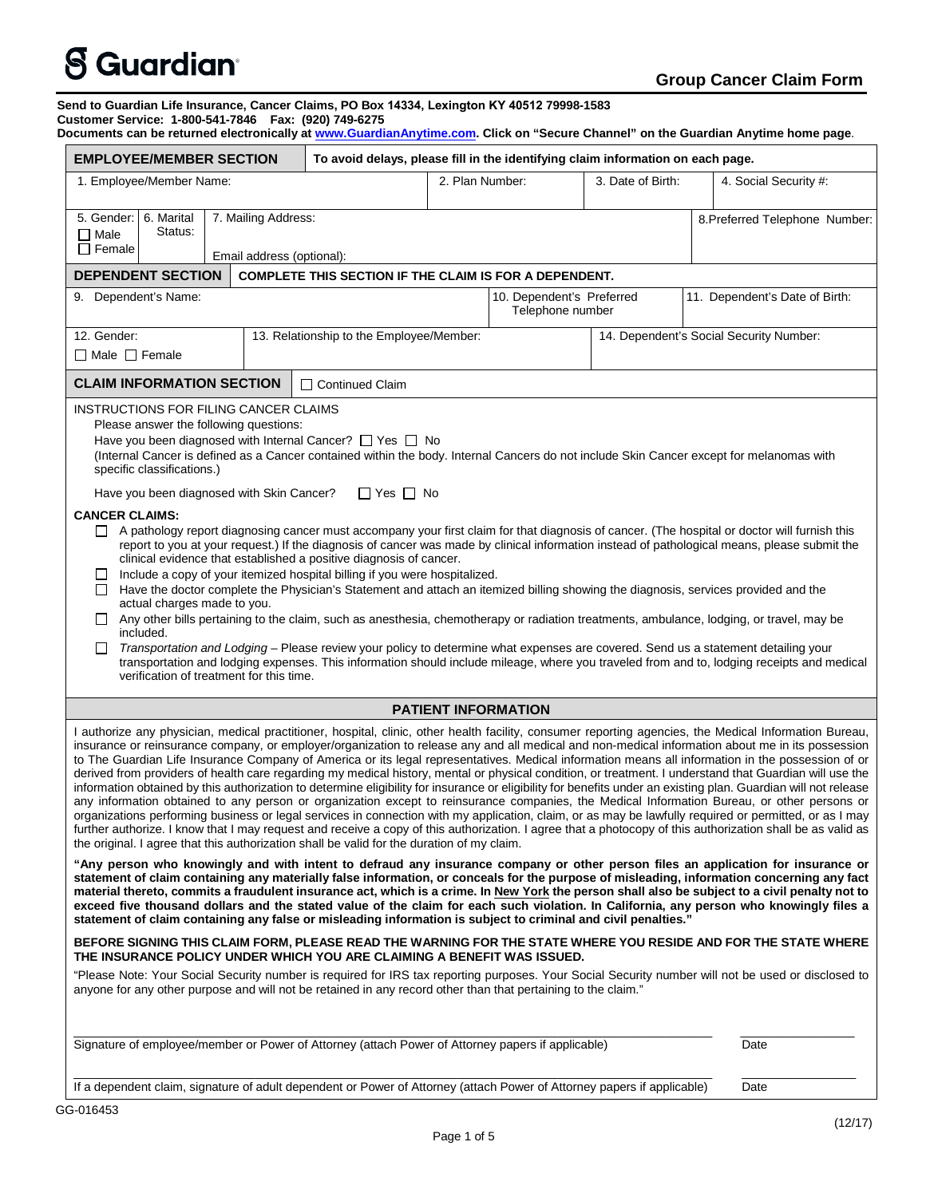# $\mathbf S$  Guardian $^{\circ}$

#### **Group Cancer Claim Form Send to Guardian Life Insurance, Cancer Claims, PO Box 14334, Lexington KY 40512 79998-1583 Customer Service: 1-800-541-7846 Fax: (920) 749-6275 Documents can be returned electronically at [www.GuardianAnytime.com.](http://www.guardiananytime.com/) Click on "Secure Channel" on the Guardian Anytime home page**. **EMPLOYEE/MEMBER SECTION To avoid delays, please fill in the identifying claim information on each page.** 1. Employee/Member Name:  $\begin{vmatrix} 2. \text{Plan Number:} \\ 2. \text{Plan Number:} \end{vmatrix}$  3. Date of Birth:  $\begin{vmatrix} 4. \text{ Social Security } #: \\ 1. \text{Total Security } #: \end{vmatrix}$ 5. Gender: □ Male  $\overline{\Box}$  Female 6. Marital Status: 7. Mailing Address: Email address (optional): 8.Preferred Telephone Number: **DEPENDENT SECTION COMPLETE THIS SECTION IF THE CLAIM IS FOR A DEPENDENT.** 9. Dependent's Name: 10. Dependent's Preferred Telephone number 11. Dependent's Date of Birth: 12. Gender:  $\Box$  Male  $\Box$  Female 13. Relationship to the Employee/Member: 14. Dependent's Social Security Number: **CLAIM INFORMATION SECTION** ◯ Continued Claim INSTRUCTIONS FOR FILING CANCER CLAIMS Please answer the following questions: Have you been diagnosed with Internal Cancer?  $\Box$  Yes  $\Box$  No (Internal Cancer is defined as a Cancer contained within the body. Internal Cancers do not include Skin Cancer except for melanomas with specific classifications.) Have you been diagnosed with Skin Cancer?  $\Box$  Yes  $\Box$  No **CANCER CLAIMS:**  $\Box$  A pathology report diagnosing cancer must accompany your first claim for that diagnosis of cancer. (The hospital or doctor will furnish this report to you at your request.) If the diagnosis of cancer was made by clinical information instead of pathological means, please submit the clinical evidence that established a positive diagnosis of cancer. Include a copy of your itemized hospital billing if you were hospitalized. Have the doctor complete the Physician's Statement and attach an itemized billing showing the diagnosis, services provided and the actual charges made to you.  $\Box$  Any other bills pertaining to the claim, such as anesthesia, chemotherapy or radiation treatments, ambulance, lodging, or travel, may be included. *Transportation and Lodging* – Please review your policy to determine what expenses are covered. Send us a statement detailing your transportation and lodging expenses. This information should include mileage, where you traveled from and to, lodging receipts and medical verification of treatment for this time. **PATIENT INFORMATION** I authorize any physician, medical practitioner, hospital, clinic, other health facility, consumer reporting agencies, the Medical Information Bureau, insurance or reinsurance company, or employer/organization to release any and all medical and non-medical information about me in its possession to The Guardian Life Insurance Company of America or its legal representatives. Medical information means all information in the possession of or derived from providers of health care regarding my medical history, mental or physical condition, or treatment. I understand that Guardian will use the information obtained by this authorization to determine eligibility for insurance or eligibility for benefits under an existing plan. Guardian will not release any information obtained to any person or organization except to reinsurance companies, the Medical Information Bureau, or other persons or organizations performing business or legal services in connection with my application, claim, or as may be lawfully required or permitted, or as I may further authorize. I know that I may request and receive a copy of this authorization. I agree that a photocopy of this authorization shall be as valid as the original. I agree that this authorization shall be valid for the duration of my claim. **"Any person who knowingly and with intent to defraud any insurance company or other person files an application for insurance or statement of claim containing any materially false information, or conceals for the purpose of misleading, information concerning any fact material thereto, commits a fraudulent insurance act, which is a crime. In New York the person shall also be subject to a civil penalty not to exceed five thousand dollars and the stated value of the claim for each such violation. In California, any person who knowingly files a statement of claim containing any false or misleading information is subject to criminal and civil penalties." BEFORE SIGNING THIS CLAIM FORM, PLEASE READ THE WARNING FOR THE STATE WHERE YOU RESIDE AND FOR THE STATE WHERE THE INSURANCE POLICY UNDER WHICH YOU ARE CLAIMING A BENEFIT WAS ISSUED.** "Please Note: Your Social Security number is required for IRS tax reporting purposes. Your Social Security number will not be used or disclosed to anyone for any other purpose and will not be retained in any record other than that pertaining to the claim." \_\_\_\_\_\_\_\_\_\_\_\_\_\_\_\_\_\_\_\_\_\_\_\_\_\_\_\_\_\_\_\_\_\_\_\_\_\_\_\_\_\_\_\_\_\_\_\_\_\_\_\_\_\_\_\_\_\_\_\_\_\_\_\_\_\_\_\_\_\_\_\_\_\_\_\_\_\_\_\_\_\_\_\_\_\_\_\_\_\_\_\_\_\_\_ \_\_\_\_\_\_\_\_\_\_\_\_\_\_\_\_\_ Signature of employee/member or Power of Attorney (attach Power of Attorney papers if applicable) Date \_\_\_\_\_\_\_\_\_\_\_\_\_\_\_\_\_\_\_\_\_\_\_\_\_\_\_\_\_\_\_\_\_\_\_\_\_\_\_\_\_\_\_\_\_\_\_\_\_\_\_\_\_\_\_\_\_\_\_\_\_\_\_\_\_\_\_\_\_\_\_\_\_\_\_\_\_\_\_\_\_\_\_\_\_\_\_\_\_\_\_\_\_\_\_ \_\_\_\_\_\_\_\_\_\_\_\_\_\_\_\_\_

If a dependent claim, signature of adult dependent or Power of Attorney (attach Power of Attorney papers if applicable) Date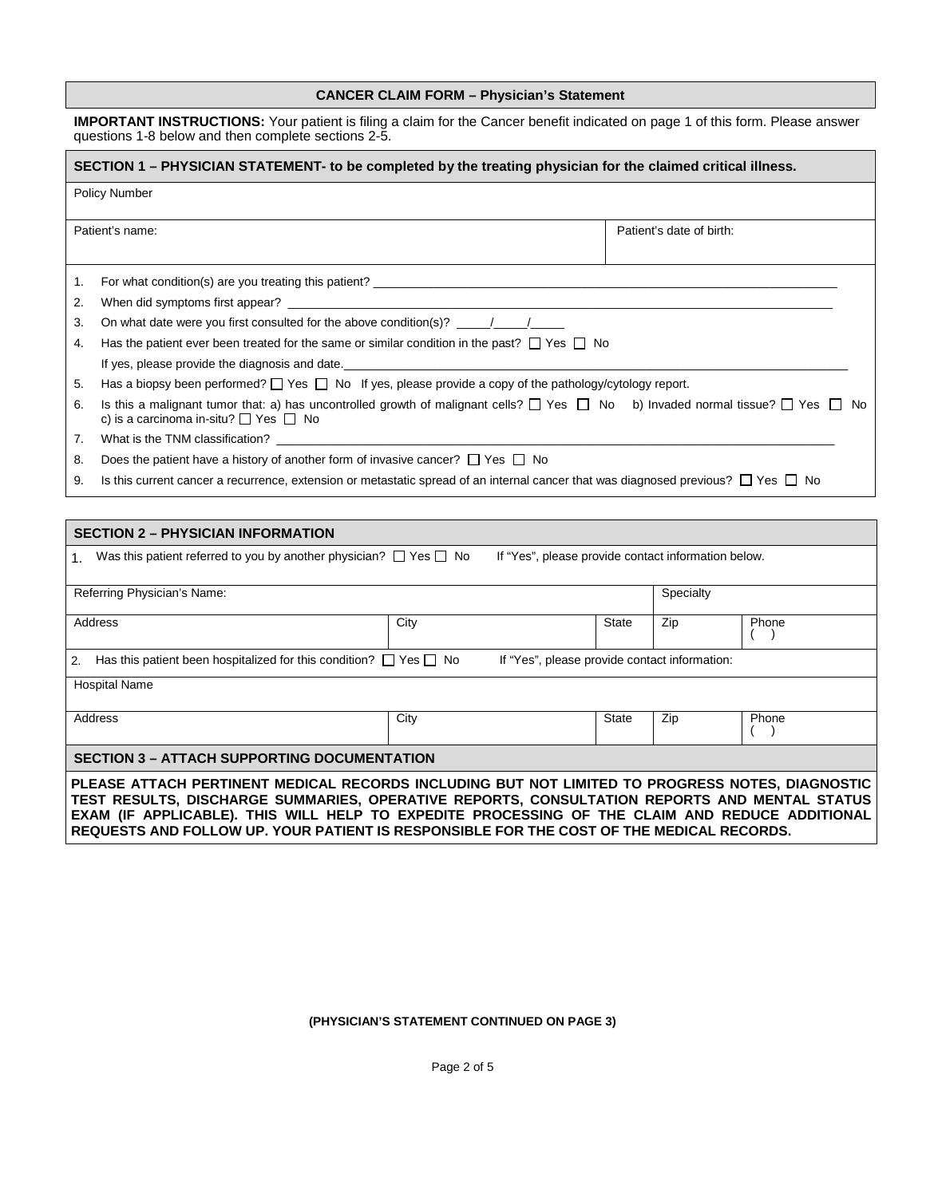## **CANCER CLAIM FORM – Physician's Statement**

**IMPORTANT INSTRUCTIONS:** Your patient is filing a claim for the Cancer benefit indicated on page 1 of this form. Please answer questions 1-8 below and then complete sections 2-5.

| SECTION 1 - PHYSICIAN STATEMENT- to be completed by the treating physician for the claimed critical illness. |                                                                                                                                                                                                                                |  |  |  |  |  |  |
|--------------------------------------------------------------------------------------------------------------|--------------------------------------------------------------------------------------------------------------------------------------------------------------------------------------------------------------------------------|--|--|--|--|--|--|
| <b>Policy Number</b>                                                                                         |                                                                                                                                                                                                                                |  |  |  |  |  |  |
| Patient's name:<br>Patient's date of birth:                                                                  |                                                                                                                                                                                                                                |  |  |  |  |  |  |
| 1.                                                                                                           |                                                                                                                                                                                                                                |  |  |  |  |  |  |
| 2.                                                                                                           |                                                                                                                                                                                                                                |  |  |  |  |  |  |
| 3.                                                                                                           | On what date were you first consulted for the above condition(s)? $\frac{1}{\sqrt{2\pi}}$                                                                                                                                      |  |  |  |  |  |  |
| 4.                                                                                                           | Has the patient ever been treated for the same or similar condition in the past? $\Box$ Yes $\Box$ No                                                                                                                          |  |  |  |  |  |  |
|                                                                                                              | If yes, please provide the diagnosis and date. The same state of the state of the state of the state of the state of the state of the state of the state of the state of the state of the state of the state of the state of t |  |  |  |  |  |  |
| 5.                                                                                                           | Has a biopsy been performed? $\Box$ Yes $\Box$ No If yes, please provide a copy of the pathology/cytology report.                                                                                                              |  |  |  |  |  |  |
| 6.                                                                                                           | Is this a malignant tumor that: a) has uncontrolled growth of malignant cells? $\Box$ Yes $\Box$ No b) Invaded normal tissue? $\Box$ Yes $\Box$ No<br>c) is a carcinoma in-situ? $\Box$ Yes $\Box$ No                          |  |  |  |  |  |  |
| 7.                                                                                                           | What is the TNM classification?                                                                                                                                                                                                |  |  |  |  |  |  |
| 8.                                                                                                           | Does the patient have a history of another form of invasive cancer? $\Box$ Yes $\Box$ No                                                                                                                                       |  |  |  |  |  |  |
| 9.                                                                                                           | Is this current cancer a recurrence, extension or metastatic spread of an internal cancer that was diagnosed previous? $\Box$ Yes $\Box$ No                                                                                    |  |  |  |  |  |  |

| <b>SECTION 2 - PHYSICIAN INFORMATION</b>                                                                                                                                                                                                                                                                                                                                                      |           |              |     |       |  |  |  |  |
|-----------------------------------------------------------------------------------------------------------------------------------------------------------------------------------------------------------------------------------------------------------------------------------------------------------------------------------------------------------------------------------------------|-----------|--------------|-----|-------|--|--|--|--|
| Was this patient referred to you by another physician? $\Box$ Yes $\Box$ No<br>If "Yes", please provide contact information below.                                                                                                                                                                                                                                                            |           |              |     |       |  |  |  |  |
| Referring Physician's Name:                                                                                                                                                                                                                                                                                                                                                                   | Specialty |              |     |       |  |  |  |  |
| Address                                                                                                                                                                                                                                                                                                                                                                                       | City      | <b>State</b> | Zip | Phone |  |  |  |  |
| Has this patient been hospitalized for this condition? $\Box$ Yes $\Box$ No<br>If "Yes", please provide contact information:<br>2.                                                                                                                                                                                                                                                            |           |              |     |       |  |  |  |  |
| <b>Hospital Name</b>                                                                                                                                                                                                                                                                                                                                                                          |           |              |     |       |  |  |  |  |
| Address                                                                                                                                                                                                                                                                                                                                                                                       | City      | State        | Zip | Phone |  |  |  |  |
| <b>SECTION 3 - ATTACH SUPPORTING DOCUMENTATION</b>                                                                                                                                                                                                                                                                                                                                            |           |              |     |       |  |  |  |  |
| PLEASE ATTACH PERTINENT MEDICAL RECORDS INCLUDING BUT NOT LIMITED TO PROGRESS NOTES, DIAGNOSTIC<br>TEST RESULTS, DISCHARGE SUMMARIES, OPERATIVE REPORTS, CONSULTATION REPORTS AND MENTAL STATUS<br>EXAM (IF APPLICABLE). THIS WILL HELP TO EXPEDITE PROCESSING OF THE CLAIM AND REDUCE ADDITIONAL<br>REQUESTS AND FOLLOW UP. YOUR PATIENT IS RESPONSIBLE FOR THE COST OF THE MEDICAL RECORDS. |           |              |     |       |  |  |  |  |

**(PHYSICIAN'S STATEMENT CONTINUED ON PAGE 3)**

Page 2 of 5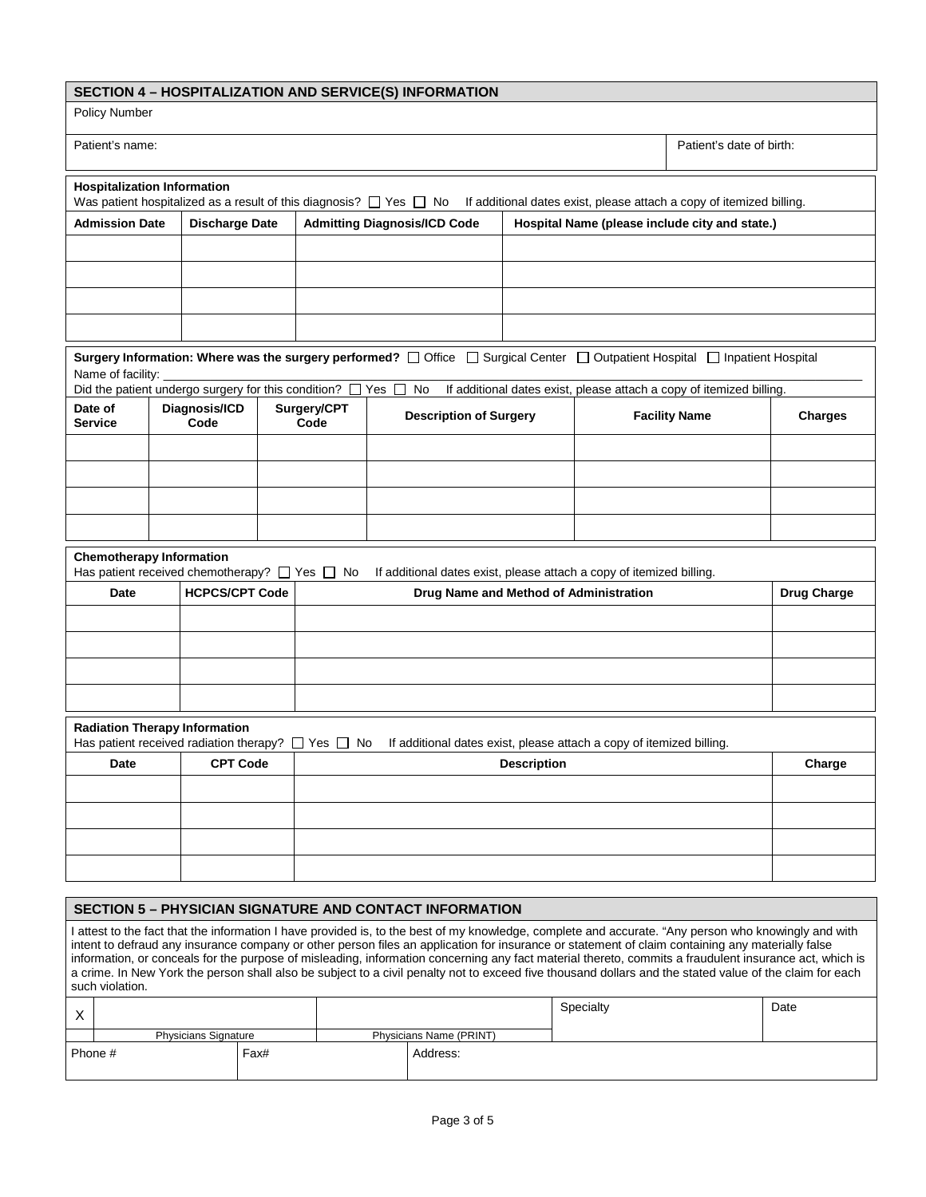| SECTION 4 - HOSPITALIZATION AND SERVICE(S) INFORMATION                                   |  |                                                                       |                                                                                                                |                                                                                       |                                                                                                                                                    |                                                                                            |                      |                                                                      |                |
|------------------------------------------------------------------------------------------|--|-----------------------------------------------------------------------|----------------------------------------------------------------------------------------------------------------|---------------------------------------------------------------------------------------|----------------------------------------------------------------------------------------------------------------------------------------------------|--------------------------------------------------------------------------------------------|----------------------|----------------------------------------------------------------------|----------------|
| <b>Policy Number</b>                                                                     |  |                                                                       |                                                                                                                |                                                                                       |                                                                                                                                                    |                                                                                            |                      |                                                                      |                |
| Patient's name:<br>Patient's date of birth:                                              |  |                                                                       |                                                                                                                |                                                                                       |                                                                                                                                                    |                                                                                            |                      |                                                                      |                |
| <b>Hospitalization Information</b>                                                       |  |                                                                       |                                                                                                                |                                                                                       | Was patient hospitalized as a result of this diagnosis? $\Box$ Yes $\Box$ No                                                                       |                                                                                            |                      | If additional dates exist, please attach a copy of itemized billing. |                |
| <b>Admission Date</b><br><b>Discharge Date</b>                                           |  |                                                                       |                                                                                                                | <b>Admitting Diagnosis/ICD Code</b><br>Hospital Name (please include city and state.) |                                                                                                                                                    |                                                                                            |                      |                                                                      |                |
|                                                                                          |  |                                                                       |                                                                                                                |                                                                                       |                                                                                                                                                    |                                                                                            |                      |                                                                      |                |
|                                                                                          |  |                                                                       |                                                                                                                |                                                                                       |                                                                                                                                                    |                                                                                            |                      |                                                                      |                |
|                                                                                          |  |                                                                       |                                                                                                                |                                                                                       |                                                                                                                                                    |                                                                                            |                      |                                                                      |                |
|                                                                                          |  |                                                                       |                                                                                                                |                                                                                       |                                                                                                                                                    |                                                                                            |                      |                                                                      |                |
| Name of facility:                                                                        |  |                                                                       |                                                                                                                |                                                                                       | Surgery Information: Where was the surgery performed? $\Box$ Office $\Box$ Surgical Center $\Box$ Outpatient Hospital $\Box$ Inpatient Hospital    |                                                                                            |                      |                                                                      |                |
|                                                                                          |  | Did the patient undergo surgery for this condition? $\Box$ Yes $\Box$ |                                                                                                                |                                                                                       | No                                                                                                                                                 |                                                                                            |                      | If additional dates exist, please attach a copy of itemized billing. |                |
| Date of<br><b>Service</b>                                                                |  | Diagnosis/ICD<br>Code                                                 |                                                                                                                | Surgery/CPT<br>Code                                                                   | <b>Description of Surgery</b>                                                                                                                      |                                                                                            | <b>Facility Name</b> |                                                                      | <b>Charges</b> |
|                                                                                          |  |                                                                       |                                                                                                                |                                                                                       |                                                                                                                                                    |                                                                                            |                      |                                                                      |                |
|                                                                                          |  |                                                                       |                                                                                                                |                                                                                       |                                                                                                                                                    |                                                                                            |                      |                                                                      |                |
|                                                                                          |  |                                                                       |                                                                                                                |                                                                                       |                                                                                                                                                    |                                                                                            |                      |                                                                      |                |
|                                                                                          |  |                                                                       |                                                                                                                |                                                                                       |                                                                                                                                                    |                                                                                            |                      |                                                                      |                |
| <b>Chemotherapy Information</b>                                                          |  |                                                                       |                                                                                                                |                                                                                       |                                                                                                                                                    |                                                                                            |                      |                                                                      |                |
| Has patient received chemotherapy? $\Box$ Yes $\Box$ No<br><b>HCPCS/CPT Code</b><br>Date |  |                                                                       | If additional dates exist, please attach a copy of itemized billing.<br>Drug Name and Method of Administration |                                                                                       |                                                                                                                                                    |                                                                                            |                      | <b>Drug Charge</b>                                                   |                |
|                                                                                          |  |                                                                       |                                                                                                                |                                                                                       |                                                                                                                                                    |                                                                                            |                      |                                                                      |                |
|                                                                                          |  |                                                                       |                                                                                                                |                                                                                       |                                                                                                                                                    |                                                                                            |                      |                                                                      |                |
|                                                                                          |  |                                                                       |                                                                                                                |                                                                                       |                                                                                                                                                    |                                                                                            |                      |                                                                      |                |
|                                                                                          |  |                                                                       |                                                                                                                |                                                                                       |                                                                                                                                                    |                                                                                            |                      |                                                                      |                |
| <b>Radiation Therapy Information</b>                                                     |  |                                                                       |                                                                                                                |                                                                                       |                                                                                                                                                    |                                                                                            |                      |                                                                      |                |
| Has patient received radiation therapy? $\Box$ Yes $\Box$ No<br>Date                     |  | <b>CPT Code</b>                                                       |                                                                                                                |                                                                                       |                                                                                                                                                    | If additional dates exist, please attach a copy of itemized billing.<br><b>Description</b> |                      |                                                                      | Charge         |
|                                                                                          |  |                                                                       |                                                                                                                |                                                                                       |                                                                                                                                                    |                                                                                            |                      |                                                                      |                |
|                                                                                          |  |                                                                       |                                                                                                                |                                                                                       |                                                                                                                                                    |                                                                                            |                      |                                                                      |                |
|                                                                                          |  |                                                                       |                                                                                                                |                                                                                       |                                                                                                                                                    |                                                                                            |                      |                                                                      |                |
|                                                                                          |  |                                                                       |                                                                                                                |                                                                                       |                                                                                                                                                    |                                                                                            |                      |                                                                      |                |
| <b>SECTION 5 - PHYSICIAN SIGNATURE AND CONTACT INFORMATION</b>                           |  |                                                                       |                                                                                                                |                                                                                       |                                                                                                                                                    |                                                                                            |                      |                                                                      |                |
|                                                                                          |  |                                                                       |                                                                                                                |                                                                                       | I attest to the fact that the information I have provided is to the best of my knowledge, complete and accurate "Any person who knowingly and with |                                                                                            |                      |                                                                      |                |

I attest to the fact that the information I have provided is, to the best of my knowledge, complete and accurate. "Any person who knowingly and with intent to defraud any insurance company or other person files an application for insurance or statement of claim containing any materially false information, or conceals for the purpose of misleading, information concerning any fact material thereto, commits a fraudulent insurance act, which is a crime. In New York the person shall also be subject to a civil penalty not to exceed five thousand dollars and the stated value of the claim for each such violation.

| $\lambda$<br>↗ |                             |      |                         |          | Specialty | Date |
|----------------|-----------------------------|------|-------------------------|----------|-----------|------|
|                | <b>Physicians Signature</b> |      | Physicians Name (PRINT) |          |           |      |
| Phone #        |                             | Fax# |                         | Address: |           |      |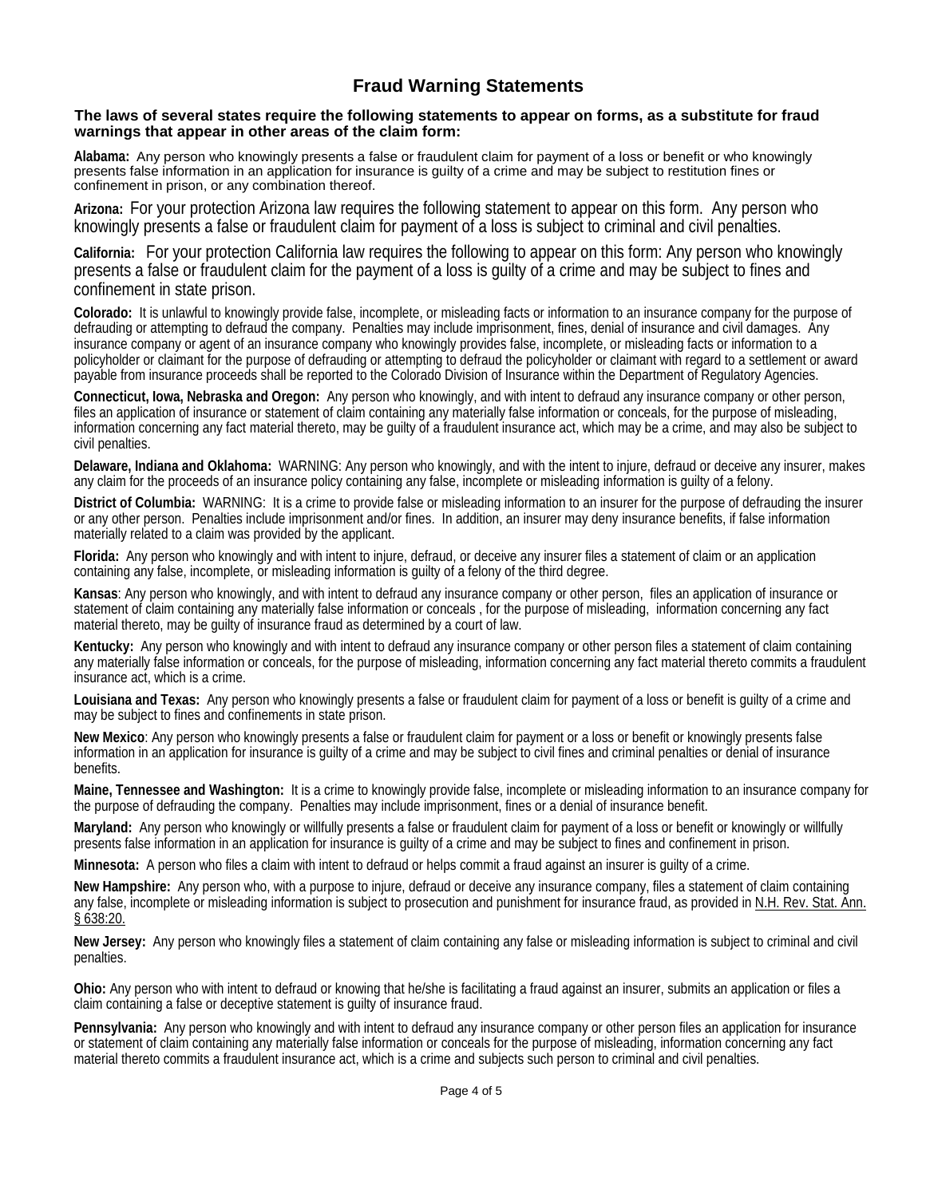# **Fraud Warning Statements**

### **The laws of several states require the following statements to appear on forms, as a substitute for fraud warnings that appear in other areas of the claim form:**

**Alabama:** Any person who knowingly presents a false or fraudulent claim for payment of a loss or benefit or who knowingly presents false information in an application for insurance is guilty of a crime and may be subject to restitution fines or confinement in prison, or any combination thereof.

**Arizona:** For your protection Arizona law requires the following statement to appear on this form. Any person who knowingly presents a false or fraudulent claim for payment of a loss is subject to criminal and civil penalties.

**California:** For your protection California law requires the following to appear on this form: Any person who knowingly presents a false or fraudulent claim for the payment of a loss is guilty of a crime and may be subject to fines and confinement in state prison.

**Colorado:** It is unlawful to knowingly provide false, incomplete, or misleading facts or information to an insurance company for the purpose of defrauding or attempting to defraud the company. Penalties may include imprisonment, fines, denial of insurance and civil damages. Any insurance company or agent of an insurance company who knowingly provides false, incomplete, or misleading facts or information to a policyholder or claimant for the purpose of defrauding or attempting to defraud the policyholder or claimant with regard to a settlement or award payable from insurance proceeds shall be reported to the Colorado Division of Insurance within the Department of Regulatory Agencies.

**Connecticut, Iowa, Nebraska and Oregon:** Any person who knowingly, and with intent to defraud any insurance company or other person, files an application of insurance or statement of claim containing any materially false information or conceals, for the purpose of misleading, information concerning any fact material thereto, may be guilty of a fraudulent insurance act, which may be a crime, and may also be subject to civil penalties.

**Delaware, Indiana and Oklahoma:** WARNING: Any person who knowingly, and with the intent to injure, defraud or deceive any insurer, makes any claim for the proceeds of an insurance policy containing any false, incomplete or misleading information is guilty of a felony.

**District of Columbia:** WARNING: It is a crime to provide false or misleading information to an insurer for the purpose of defrauding the insurer or any other person. Penalties include imprisonment and/or fines. In addition, an insurer may deny insurance benefits, if false information materially related to a claim was provided by the applicant.

**Florida:** Any person who knowingly and with intent to injure, defraud, or deceive any insurer files a statement of claim or an application containing any false, incomplete, or misleading information is guilty of a felony of the third degree.

**Kansas**: Any person who knowingly, and with intent to defraud any insurance company or other person, files an application of insurance or statement of claim containing any materially false information or conceals , for the purpose of misleading, information concerning any fact material thereto, may be guilty of insurance fraud as determined by a court of law.

**Kentucky:** Any person who knowingly and with intent to defraud any insurance company or other person files a statement of claim containing any materially false information or conceals, for the purpose of misleading, information concerning any fact material thereto commits a fraudulent insurance act, which is a crime.

**Louisiana and Texas:** Any person who knowingly presents a false or fraudulent claim for payment of a loss or benefit is guilty of a crime and may be subject to fines and confinements in state prison.

**New Mexico**: Any person who knowingly presents a false or fraudulent claim for payment or a loss or benefit or knowingly presents false information in an application for insurance is guilty of a crime and may be subject to civil fines and criminal penalties or denial of insurance benefits.

**Maine, Tennessee and Washington:** It is a crime to knowingly provide false, incomplete or misleading information to an insurance company for the purpose of defrauding the company. Penalties may include imprisonment, fines or a denial of insurance benefit.

**Maryland:** Any person who knowingly or willfully presents a false or fraudulent claim for payment of a loss or benefit or knowingly or willfully presents false information in an application for insurance is guilty of a crime and may be subject to fines and confinement in prison.

**Minnesota:** A person who files a claim with intent to defraud or helps commit a fraud against an insurer is guilty of a crime.

**New Hampshire:** Any person who, with a purpose to injure, defraud or deceive any insurance company, files a statement of claim containing any false, incomplete or misleading information is subject to prosecution and punishment for insurance fraud, as provided in N.H. Rev. Stat. Ann. § 638:20.

**New Jersey:** Any person who knowingly files a statement of claim containing any false or misleading information is subject to criminal and civil penalties.

**Ohio:** Any person who with intent to defraud or knowing that he/she is facilitating a fraud against an insurer, submits an application or files a claim containing a false or deceptive statement is guilty of insurance fraud.

**Pennsylvania:** Any person who knowingly and with intent to defraud any insurance company or other person files an application for insurance or statement of claim containing any materially false information or conceals for the purpose of misleading, information concerning any fact material thereto commits a fraudulent insurance act, which is a crime and subjects such person to criminal and civil penalties.